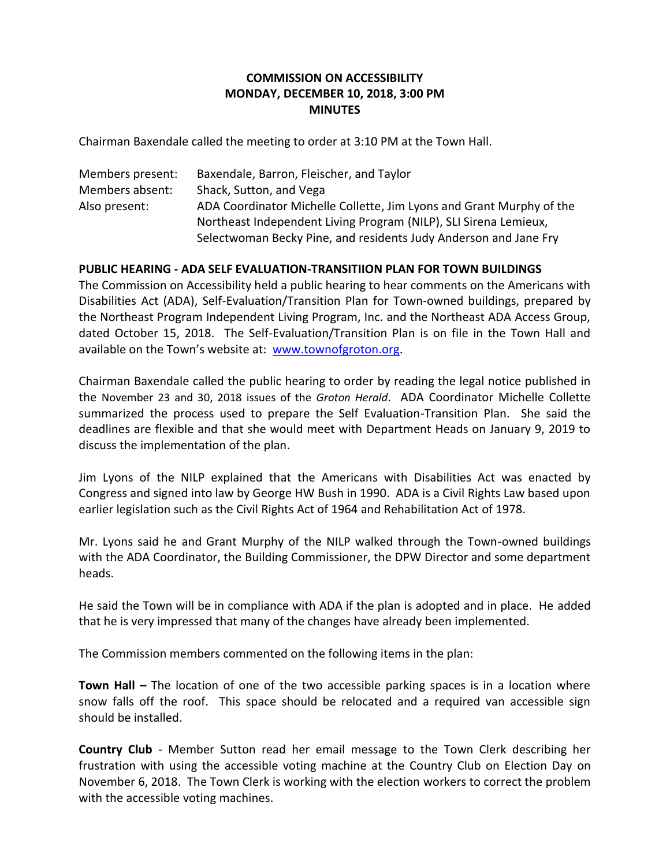## **COMMISSION ON ACCESSIBILITY MONDAY, DECEMBER 10, 2018, 3:00 PM MINUTES**

Chairman Baxendale called the meeting to order at 3:10 PM at the Town Hall.

| Members present: | Baxendale, Barron, Fleischer, and Taylor                             |
|------------------|----------------------------------------------------------------------|
| Members absent:  | Shack, Sutton, and Vega                                              |
| Also present:    | ADA Coordinator Michelle Collette, Jim Lyons and Grant Murphy of the |
|                  | Northeast Independent Living Program (NILP), SLI Sirena Lemieux,     |
|                  | Selectwoman Becky Pine, and residents Judy Anderson and Jane Fry     |

## **PUBLIC HEARING - ADA SELF EVALUATION-TRANSITIION PLAN FOR TOWN BUILDINGS**

The Commission on Accessibility held a public hearing to hear comments on the Americans with Disabilities Act (ADA), Self-Evaluation/Transition Plan for Town-owned buildings, prepared by the Northeast Program Independent Living Program, Inc. and the Northeast ADA Access Group, dated October 15, 2018. The Self-Evaluation/Transition Plan is on file in the Town Hall and available on the Town's website at: [www.townofgroton.org.](http://www.townofgroton.org/)

Chairman Baxendale called the public hearing to order by reading the legal notice published in the November 23 and 30, 2018 issues of the *Groton Herald*. ADA Coordinator Michelle Collette summarized the process used to prepare the Self Evaluation-Transition Plan. She said the deadlines are flexible and that she would meet with Department Heads on January 9, 2019 to discuss the implementation of the plan.

Jim Lyons of the NILP explained that the Americans with Disabilities Act was enacted by Congress and signed into law by George HW Bush in 1990. ADA is a Civil Rights Law based upon earlier legislation such as the Civil Rights Act of 1964 and Rehabilitation Act of 1978.

Mr. Lyons said he and Grant Murphy of the NILP walked through the Town-owned buildings with the ADA Coordinator, the Building Commissioner, the DPW Director and some department heads.

He said the Town will be in compliance with ADA if the plan is adopted and in place. He added that he is very impressed that many of the changes have already been implemented.

The Commission members commented on the following items in the plan:

**Town Hall –** The location of one of the two accessible parking spaces is in a location where snow falls off the roof. This space should be relocated and a required van accessible sign should be installed.

**Country Club** - Member Sutton read her email message to the Town Clerk describing her frustration with using the accessible voting machine at the Country Club on Election Day on November 6, 2018. The Town Clerk is working with the election workers to correct the problem with the accessible voting machines.